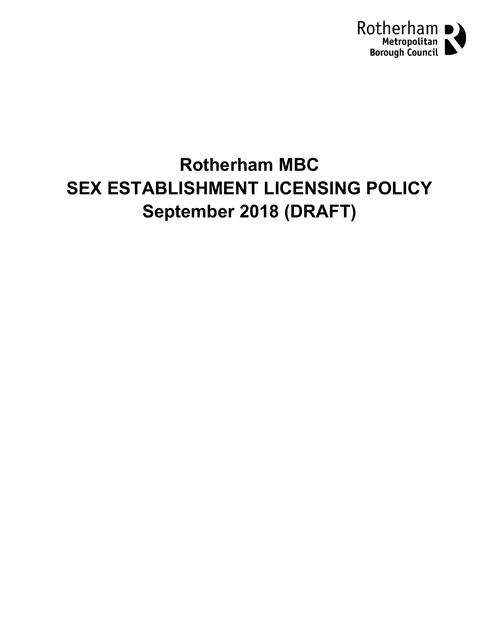

# **Rotherham MBC SEX ESTABLISHMENT LICENSING POLICY September 2018 (DRAFT)**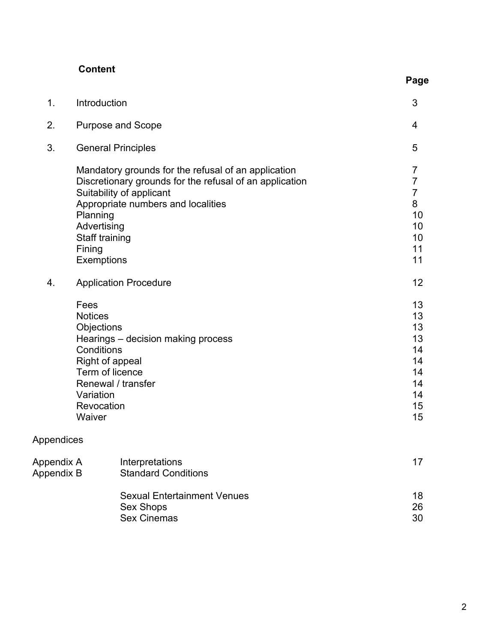| <b>Content</b> |  |
|----------------|--|
|----------------|--|

| ٠<br>٠<br>× |
|-------------|
|-------------|

| 1.         | Introduction                                                                                                                                                                                                                                          | 3                                                                                     |  |
|------------|-------------------------------------------------------------------------------------------------------------------------------------------------------------------------------------------------------------------------------------------------------|---------------------------------------------------------------------------------------|--|
| 2.         | <b>Purpose and Scope</b>                                                                                                                                                                                                                              | 4                                                                                     |  |
| 3.         | <b>General Principles</b>                                                                                                                                                                                                                             | 5                                                                                     |  |
|            | Mandatory grounds for the refusal of an application<br>Discretionary grounds for the refusal of an application<br>Suitability of applicant<br>Appropriate numbers and localities<br>Planning<br>Advertising<br>Staff training<br>Fining<br>Exemptions | $\overline{7}$<br>$\overline{7}$<br>$\overline{7}$<br>8<br>10<br>10<br>10<br>11<br>11 |  |
| 4.         | <b>Application Procedure</b>                                                                                                                                                                                                                          | 12                                                                                    |  |
|            | Fees<br><b>Notices</b><br>Objections<br>Hearings - decision making process<br>Conditions<br>Right of appeal<br>Term of licence<br>Renewal / transfer<br>Variation<br>Revocation<br>Waiver                                                             | 13<br>13<br>13<br>13<br>14<br>14<br>14<br>14<br>14<br>15<br>15                        |  |
| Appendices |                                                                                                                                                                                                                                                       |                                                                                       |  |

| Appendix A | Interpretations                    | 17 |
|------------|------------------------------------|----|
| Appendix B | <b>Standard Conditions</b>         |    |
|            | <b>Sexual Entertainment Venues</b> | 18 |
|            | Sex Shops                          | 26 |
|            | <b>Sex Cinemas</b>                 | 30 |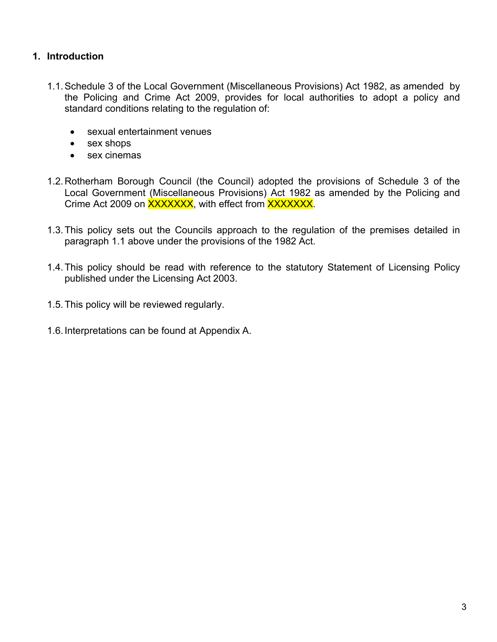# **1. Introduction**

- 1.1.Schedule 3 of the Local Government (Miscellaneous Provisions) Act 1982, as amended by the Policing and Crime Act 2009, provides for local authorities to adopt a policy and standard conditions relating to the regulation of:
	- sexual entertainment venues
	- sex shops
	- sex cinemas
- 1.2.Rotherham Borough Council (the Council) adopted the provisions of Schedule 3 of the Local Government (Miscellaneous Provisions) Act 1982 as amended by the Policing and Crime Act 2009 on **XXXXXXX**, with effect from **XXXXXXX.**
- 1.3.This policy sets out the Councils approach to the regulation of the premises detailed in paragraph 1.1 above under the provisions of the 1982 Act.
- 1.4.This policy should be read with reference to the statutory Statement of Licensing Policy published under the Licensing Act 2003.
- 1.5.This policy will be reviewed regularly.
- 1.6.Interpretations can be found at Appendix A.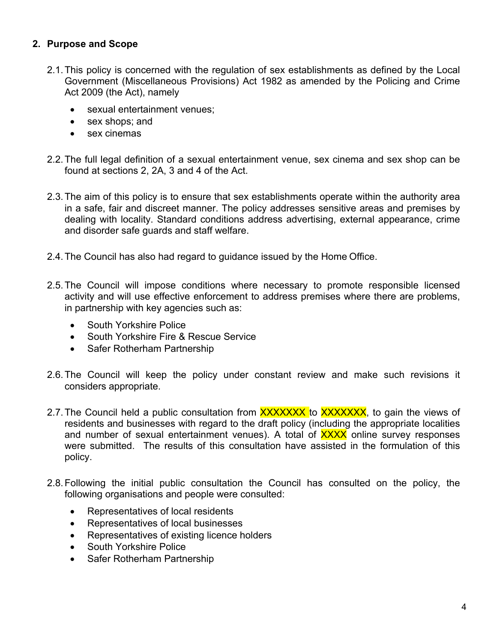# **2. Purpose and Scope**

- 2.1.This policy is concerned with the regulation of sex establishments as defined by the Local Government (Miscellaneous Provisions) Act 1982 as amended by the Policing and Crime Act 2009 (the Act), namely
	- sexual entertainment venues;
	- sex shops; and
	- sex cinemas
- 2.2.The full legal definition of a sexual entertainment venue, sex cinema and sex shop can be found at sections 2, 2A, 3 and 4 of the Act.
- 2.3.The aim of this policy is to ensure that sex establishments operate within the authority area in a safe, fair and discreet manner. The policy addresses sensitive areas and premises by dealing with locality. Standard conditions address advertising, external appearance, crime and disorder safe guards and staff welfare.
- 2.4.The Council has also had regard to guidance issued by the Home Office.
- 2.5.The Council will impose conditions where necessary to promote responsible licensed activity and will use effective enforcement to address premises where there are problems, in partnership with key agencies such as:
	- South Yorkshire Police
	- South Yorkshire Fire & Rescue Service
	- Safer Rotherham Partnership
- 2.6.The Council will keep the policy under constant review and make such revisions it considers appropriate.
- 2.7. The Council held a public consultation from **XXXXXXX** to XXXXXXX, to gain the views of residents and businesses with regard to the draft policy (including the appropriate localities and number of sexual entertainment venues). A total of **XXXX** online survey responses were submitted. The results of this consultation have assisted in the formulation of this policy.
- 2.8.Following the initial public consultation the Council has consulted on the policy, the following organisations and people were consulted:
	- Representatives of local residents
	- Representatives of local businesses
	- Representatives of existing licence holders
	- South Yorkshire Police
	- Safer Rotherham Partnership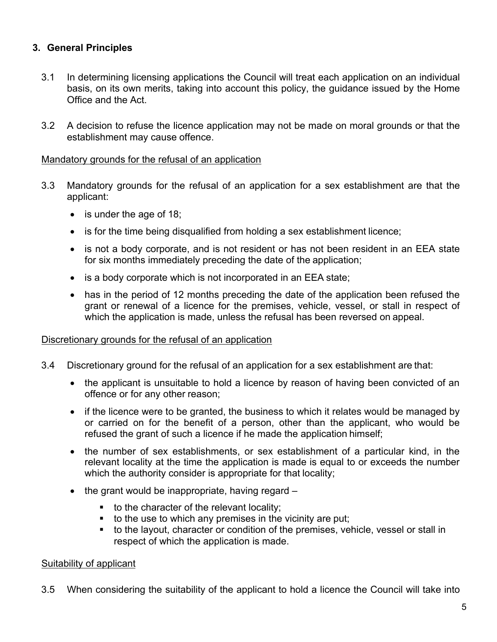# **3. General Principles**

- 3.1 In determining licensing applications the Council will treat each application on an individual basis, on its own merits, taking into account this policy, the guidance issued by the Home Office and the Act.
- 3.2 A decision to refuse the licence application may not be made on moral grounds or that the establishment may cause offence.

## Mandatory grounds for the refusal of an application

- 3.3 Mandatory grounds for the refusal of an application for a sex establishment are that the applicant:
	- is under the age of 18;
	- is for the time being disqualified from holding a sex establishment licence;
	- is not a body corporate, and is not resident or has not been resident in an EEA state for six months immediately preceding the date of the application;
	- is a body corporate which is not incorporated in an EEA state;
	- has in the period of 12 months preceding the date of the application been refused the grant or renewal of a licence for the premises, vehicle, vessel, or stall in respect of which the application is made, unless the refusal has been reversed on appeal.

## Discretionary grounds for the refusal of an application

- 3.4 Discretionary ground for the refusal of an application for a sex establishment are that:
	- the applicant is unsuitable to hold a licence by reason of having been convicted of an offence or for any other reason;
	- if the licence were to be granted, the business to which it relates would be managed by or carried on for the benefit of a person, other than the applicant, who would be refused the grant of such a licence if he made the application himself;
	- the number of sex establishments, or sex establishment of a particular kind, in the relevant locality at the time the application is made is equal to or exceeds the number which the authority consider is appropriate for that locality;
	- $\bullet$  the grant would be inappropriate, having regard  $-$ 
		- $\blacksquare$  to the character of the relevant locality;
		- $\bullet$  to the use to which any premises in the vicinity are put;
		- to the layout, character or condition of the premises, vehicle, vessel or stall in respect of which the application is made.

## Suitability of applicant

3.5 When considering the suitability of the applicant to hold a licence the Council will take into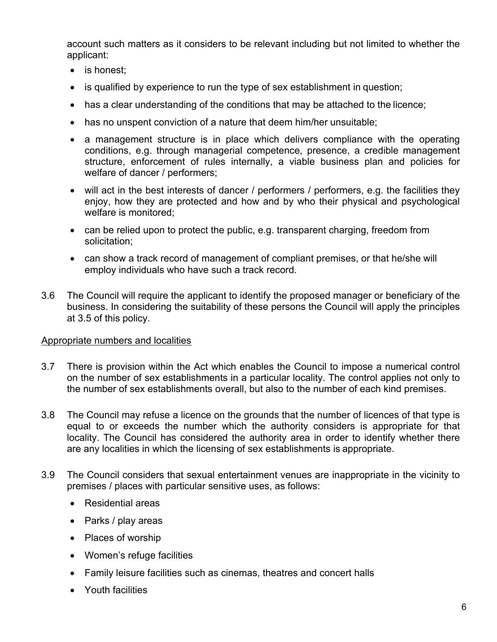account such matters as it considers to be relevant including but not limited to whether the applicant:

- is honest;
- is qualified by experience to run the type of sex establishment in question;
- has a clear understanding of the conditions that may be attached to the licence;
- has no unspent conviction of a nature that deem him/her unsuitable;
- a management structure is in place which delivers compliance with the operating conditions, e.g. through managerial competence, presence, a credible management structure, enforcement of rules internally, a viable business plan and policies for welfare of dancer / performers;
- will act in the best interests of dancer / performers / performers, e.g. the facilities they enjoy, how they are protected and how and by who their physical and psychological welfare is monitored;
- can be relied upon to protect the public, e.g. transparent charging, freedom from solicitation;
- can show a track record of management of compliant premises, or that he/she will employ individuals who have such a track record.
- 3.6 The Council will require the applicant to identify the proposed manager or beneficiary of the business. In considering the suitability of these persons the Council will apply the principles at 3.5 of this policy.

# Appropriate numbers and localities

- 3.7 There is provision within the Act which enables the Council to impose a numerical control on the number of sex establishments in a particular locality. The control applies not only to the number of sex establishments overall, but also to the number of each kind premises.
- 3.8 The Council may refuse a licence on the grounds that the number of licences of that type is equal to or exceeds the number which the authority considers is appropriate for that locality. The Council has considered the authority area in order to identify whether there are any localities in which the licensing of sex establishments is appropriate.
- 3.9 The Council considers that sexual entertainment venues are inappropriate in the vicinity to premises / places with particular sensitive uses, as follows:
	- Residential areas
	- Parks / play areas
	- Places of worship
	- Women's refuge facilities
	- Family leisure facilities such as cinemas, theatres and concert halls
	- Youth facilities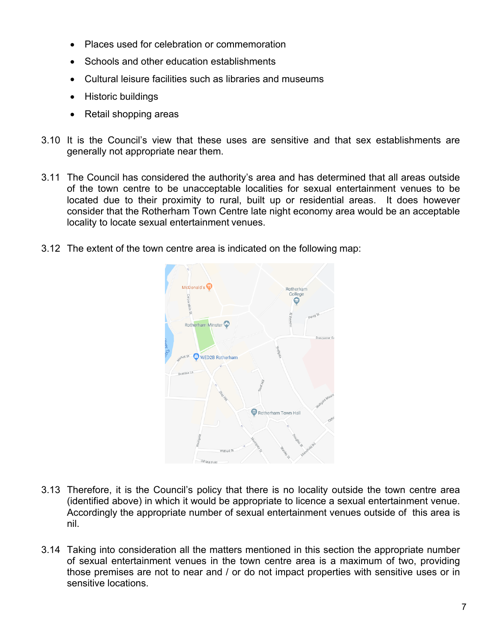- Places used for celebration or commemoration
- Schools and other education establishments
- Cultural leisure facilities such as libraries and museums
- Historic buildings
- Retail shopping areas
- 3.10 It is the Council's view that these uses are sensitive and that sex establishments are generally not appropriate near them.
- 3.11 The Council has considered the authority's area and has determined that all areas outside of the town centre to be unacceptable localities for sexual entertainment venues to be located due to their proximity to rural, built up or residential areas. It does however consider that the Rotherham Town Centre late night economy area would be an acceptable locality to locate sexual entertainment venues.
- 3.12 The extent of the town centre area is indicated on the following map:



- 3.13 Therefore, it is the Council's policy that there is no locality outside the town centre area (identified above) in which it would be appropriate to licence a sexual entertainment venue. Accordingly the appropriate number of sexual entertainment venues outside of this area is nil.
- 3.14 Taking into consideration all the matters mentioned in this section the appropriate number of sexual entertainment venues in the town centre area is a maximum of two, providing those premises are not to near and / or do not impact properties with sensitive uses or in sensitive locations.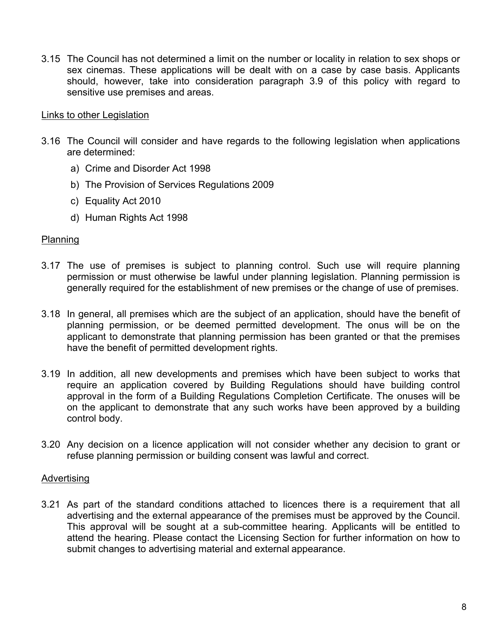3.15 The Council has not determined a limit on the number or locality in relation to sex shops or sex cinemas. These applications will be dealt with on a case by case basis. Applicants should, however, take into consideration paragraph 3.9 of this policy with regard to sensitive use premises and areas.

#### Links to other Legislation

- 3.16 The Council will consider and have regards to the following legislation when applications are determined:
	- a) Crime and Disorder Act 1998
	- b) The Provision of Services Regulations 2009
	- c) Equality Act 2010
	- d) Human Rights Act 1998

#### Planning

- 3.17 The use of premises is subject to planning control. Such use will require planning permission or must otherwise be lawful under planning legislation. Planning permission is generally required for the establishment of new premises or the change of use of premises.
- 3.18 In general, all premises which are the subject of an application, should have the benefit of planning permission, or be deemed permitted development. The onus will be on the applicant to demonstrate that planning permission has been granted or that the premises have the benefit of permitted development rights.
- 3.19 In addition, all new developments and premises which have been subject to works that require an application covered by Building Regulations should have building control approval in the form of a Building Regulations Completion Certificate. The onuses will be on the applicant to demonstrate that any such works have been approved by a building control body.
- 3.20 Any decision on a licence application will not consider whether any decision to grant or refuse planning permission or building consent was lawful and correct.

#### Advertising

3.21 As part of the standard conditions attached to licences there is a requirement that all advertising and the external appearance of the premises must be approved by the Council. This approval will be sought at a sub-committee hearing. Applicants will be entitled to attend the hearing. Please contact the Licensing Section for further information on how to submit changes to advertising material and external appearance.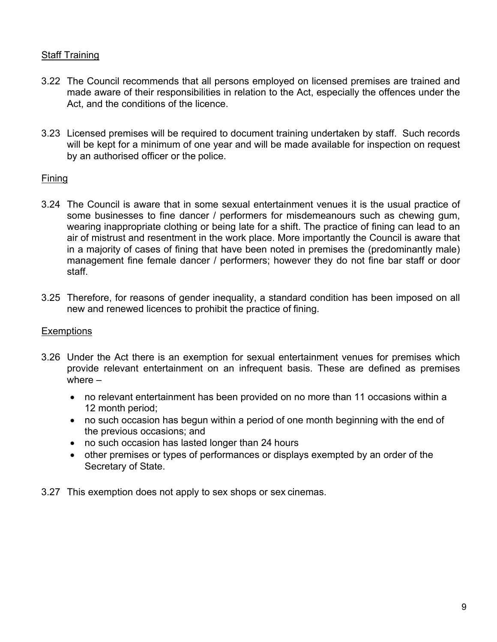# Staff Training

- 3.22 The Council recommends that all persons employed on licensed premises are trained and made aware of their responsibilities in relation to the Act, especially the offences under the Act, and the conditions of the licence.
- 3.23 Licensed premises will be required to document training undertaken by staff. Such records will be kept for a minimum of one year and will be made available for inspection on request by an authorised officer or the police.

## **Fining**

- 3.24 The Council is aware that in some sexual entertainment venues it is the usual practice of some businesses to fine dancer / performers for misdemeanours such as chewing gum, wearing inappropriate clothing or being late for a shift. The practice of fining can lead to an air of mistrust and resentment in the work place. More importantly the Council is aware that in a majority of cases of fining that have been noted in premises the (predominantly male) management fine female dancer / performers; however they do not fine bar staff or door staff.
- 3.25 Therefore, for reasons of gender inequality, a standard condition has been imposed on all new and renewed licences to prohibit the practice of fining.

# **Exemptions**

- 3.26 Under the Act there is an exemption for sexual entertainment venues for premises which provide relevant entertainment on an infrequent basis. These are defined as premises where –
	- no relevant entertainment has been provided on no more than 11 occasions within a 12 month period;
	- no such occasion has begun within a period of one month beginning with the end of the previous occasions; and
	- no such occasion has lasted longer than 24 hours
	- other premises or types of performances or displays exempted by an order of the Secretary of State.
- 3.27 This exemption does not apply to sex shops or sex cinemas.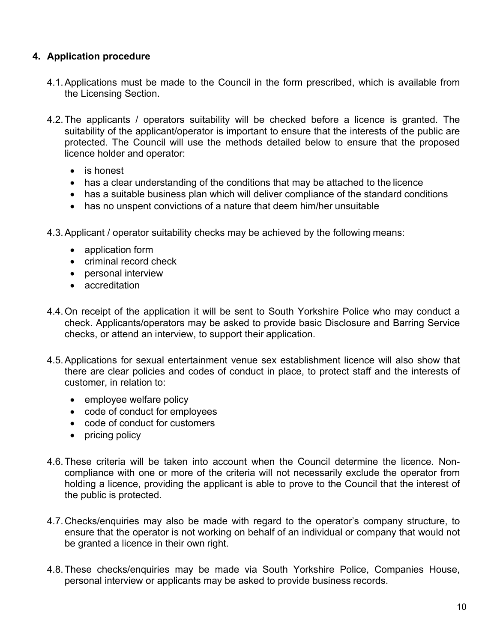# **4. Application procedure**

- 4.1.Applications must be made to the Council in the form prescribed, which is available from the Licensing Section.
- 4.2.The applicants / operators suitability will be checked before a licence is granted. The suitability of the applicant/operator is important to ensure that the interests of the public are protected. The Council will use the methods detailed below to ensure that the proposed licence holder and operator:
	- is honest
	- has a clear understanding of the conditions that may be attached to the licence
	- has a suitable business plan which will deliver compliance of the standard conditions
	- has no unspent convictions of a nature that deem him/her unsuitable
- 4.3.Applicant / operator suitability checks may be achieved by the following means:
	- application form
	- criminal record check
	- personal interview
	- accreditation
- 4.4.On receipt of the application it will be sent to South Yorkshire Police who may conduct a check. Applicants/operators may be asked to provide basic Disclosure and Barring Service checks, or attend an interview, to support their application.
- 4.5.Applications for sexual entertainment venue sex establishment licence will also show that there are clear policies and codes of conduct in place, to protect staff and the interests of customer, in relation to:
	- employee welfare policy
	- code of conduct for employees
	- code of conduct for customers
	- pricing policy
- 4.6.These criteria will be taken into account when the Council determine the licence. Noncompliance with one or more of the criteria will not necessarily exclude the operator from holding a licence, providing the applicant is able to prove to the Council that the interest of the public is protected.
- 4.7.Checks/enquiries may also be made with regard to the operator's company structure, to ensure that the operator is not working on behalf of an individual or company that would not be granted a licence in their own right.
- 4.8.These checks/enquiries may be made via South Yorkshire Police, Companies House, personal interview or applicants may be asked to provide business records.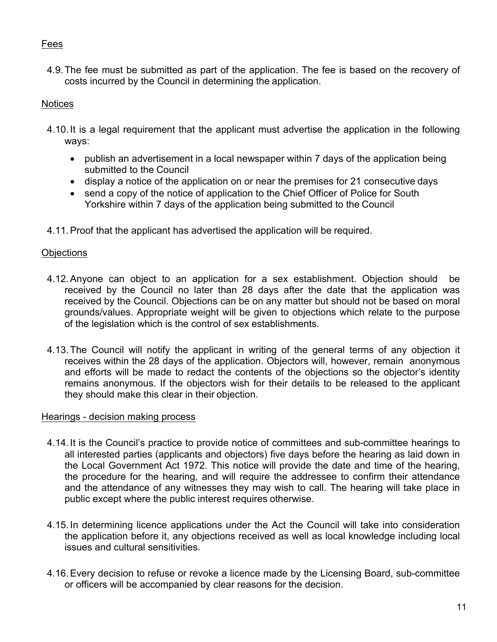# Fees

4.9.The fee must be submitted as part of the application. The fee is based on the recovery of costs incurred by the Council in determining the application.

# **Notices**

- 4.10. It is a legal requirement that the applicant must advertise the application in the following ways:
	- publish an advertisement in a local newspaper within 7 days of the application being submitted to the Council
	- display a notice of the application on or near the premises for 21 consecutive days
	- send a copy of the notice of application to the Chief Officer of Police for South Yorkshire within 7 days of the application being submitted to the Council
- 4.11.Proof that the applicant has advertised the application will be required.

# **Objections**

- 4.12.Anyone can object to an application for a sex establishment. Objection should be received by the Council no later than 28 days after the date that the application was received by the Council. Objections can be on any matter but should not be based on moral grounds/values. Appropriate weight will be given to objections which relate to the purpose of the legislation which is the control of sex establishments.
- 4.13.The Council will notify the applicant in writing of the general terms of any objection it receives within the 28 days of the application. Objectors will, however, remain anonymous and efforts will be made to redact the contents of the objections so the objector's identity remains anonymous. If the objectors wish for their details to be released to the applicant they should make this clear in their objection.

# Hearings - decision making process

- 4.14. It is the Council's practice to provide notice of committees and sub-committee hearings to all interested parties (applicants and objectors) five days before the hearing as laid down in the Local Government Act 1972. This notice will provide the date and time of the hearing, the procedure for the hearing, and will require the addressee to confirm their attendance and the attendance of any witnesses they may wish to call. The hearing will take place in public except where the public interest requires otherwise.
- 4.15. In determining licence applications under the Act the Council will take into consideration the application before it, any objections received as well as local knowledge including local issues and cultural sensitivities.
- 4.16.Every decision to refuse or revoke a licence made by the Licensing Board, sub-committee or officers will be accompanied by clear reasons for the decision.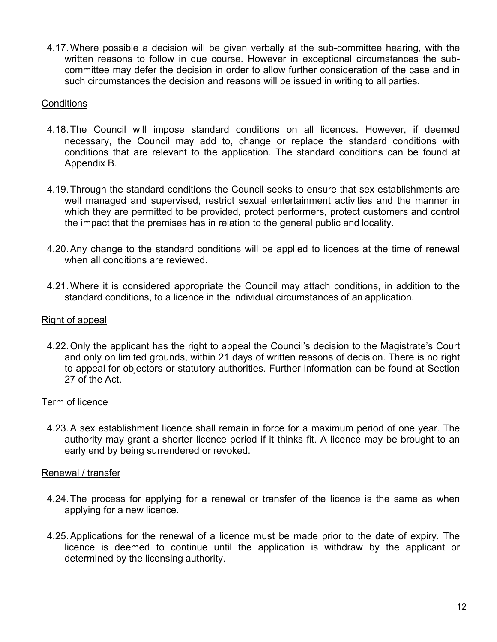4.17.Where possible a decision will be given verbally at the sub-committee hearing, with the written reasons to follow in due course. However in exceptional circumstances the subcommittee may defer the decision in order to allow further consideration of the case and in such circumstances the decision and reasons will be issued in writing to all parties.

#### **Conditions**

- 4.18.The Council will impose standard conditions on all licences. However, if deemed necessary, the Council may add to, change or replace the standard conditions with conditions that are relevant to the application. The standard conditions can be found at Appendix B.
- 4.19.Through the standard conditions the Council seeks to ensure that sex establishments are well managed and supervised, restrict sexual entertainment activities and the manner in which they are permitted to be provided, protect performers, protect customers and control the impact that the premises has in relation to the general public and locality.
- 4.20.Any change to the standard conditions will be applied to licences at the time of renewal when all conditions are reviewed.
- 4.21.Where it is considered appropriate the Council may attach conditions, in addition to the standard conditions, to a licence in the individual circumstances of an application.

#### Right of appeal

4.22.Only the applicant has the right to appeal the Council's decision to the Magistrate's Court and only on limited grounds, within 21 days of written reasons of decision. There is no right to appeal for objectors or statutory authorities. Further information can be found at Section 27 of the Act.

#### Term of licence

4.23.A sex establishment licence shall remain in force for a maximum period of one year. The authority may grant a shorter licence period if it thinks fit. A licence may be brought to an early end by being surrendered or revoked.

#### Renewal / transfer

- 4.24.The process for applying for a renewal or transfer of the licence is the same as when applying for a new licence.
- 4.25.Applications for the renewal of a licence must be made prior to the date of expiry. The licence is deemed to continue until the application is withdraw by the applicant or determined by the licensing authority.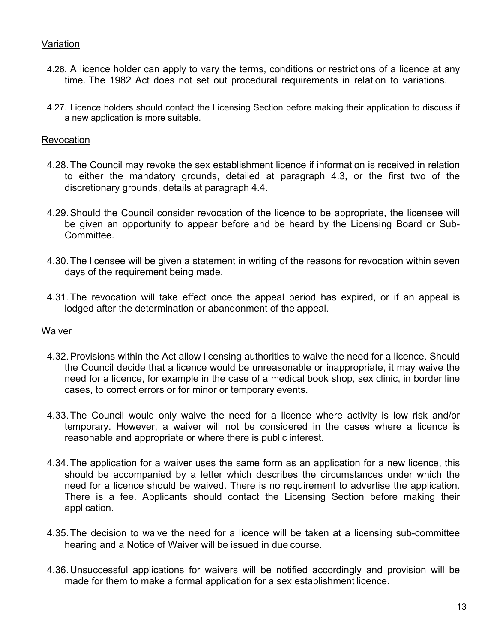## Variation

- 4.26. A licence holder can apply to vary the terms, conditions or restrictions of a licence at any time. The 1982 Act does not set out procedural requirements in relation to variations.
- 4.27. Licence holders should contact the Licensing Section before making their application to discuss if a new application is more suitable.

#### **Revocation**

- 4.28.The Council may revoke the sex establishment licence if information is received in relation to either the mandatory grounds, detailed at paragraph 4.3, or the first two of the discretionary grounds, details at paragraph 4.4.
- 4.29.Should the Council consider revocation of the licence to be appropriate, the licensee will be given an opportunity to appear before and be heard by the Licensing Board or Sub-Committee.
- 4.30.The licensee will be given a statement in writing of the reasons for revocation within seven days of the requirement being made.
- 4.31.The revocation will take effect once the appeal period has expired, or if an appeal is lodged after the determination or abandonment of the appeal.

#### **Waiver**

- 4.32.Provisions within the Act allow licensing authorities to waive the need for a licence. Should the Council decide that a licence would be unreasonable or inappropriate, it may waive the need for a licence, for example in the case of a medical book shop, sex clinic, in border line cases, to correct errors or for minor or temporary events.
- 4.33.The Council would only waive the need for a licence where activity is low risk and/or temporary. However, a waiver will not be considered in the cases where a licence is reasonable and appropriate or where there is public interest.
- 4.34.The application for a waiver uses the same form as an application for a new licence, this should be accompanied by a letter which describes the circumstances under which the need for a licence should be waived. There is no requirement to advertise the application. There is a fee. Applicants should contact the Licensing Section before making their application.
- 4.35.The decision to waive the need for a licence will be taken at a licensing sub-committee hearing and a Notice of Waiver will be issued in due course.
- 4.36. Unsuccessful applications for waivers will be notified accordingly and provision will be made for them to make a formal application for a sex establishment licence.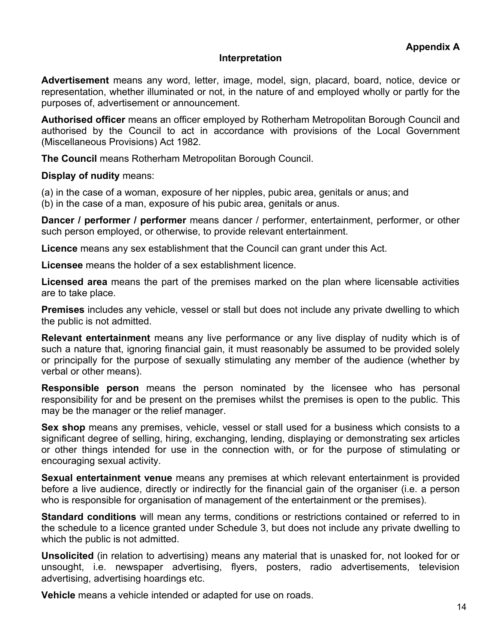#### **Interpretation**

**Advertisement** means any word, letter, image, model, sign, placard, board, notice, device or representation, whether illuminated or not, in the nature of and employed wholly or partly for the purposes of, advertisement or announcement.

**Authorised officer** means an officer employed by Rotherham Metropolitan Borough Council and authorised by the Council to act in accordance with provisions of the Local Government (Miscellaneous Provisions) Act 1982.

**The Council** means Rotherham Metropolitan Borough Council.

**Display of nudity** means:

(a) in the case of a woman, exposure of her nipples, pubic area, genitals or anus; and (b) in the case of a man, exposure of his pubic area, genitals or anus.

**Dancer / performer / performer** means dancer / performer, entertainment, performer, or other such person employed, or otherwise, to provide relevant entertainment.

**Licence** means any sex establishment that the Council can grant under this Act.

**Licensee** means the holder of a sex establishment licence.

**Licensed area** means the part of the premises marked on the plan where licensable activities are to take place.

**Premises** includes any vehicle, vessel or stall but does not include any private dwelling to which the public is not admitted.

**Relevant entertainment** means any live performance or any live display of nudity which is of such a nature that, ignoring financial gain, it must reasonably be assumed to be provided solely or principally for the purpose of sexually stimulating any member of the audience (whether by verbal or other means).

**Responsible person** means the person nominated by the licensee who has personal responsibility for and be present on the premises whilst the premises is open to the public. This may be the manager or the relief manager.

**Sex shop** means any premises, vehicle, vessel or stall used for a business which consists to a significant degree of selling, hiring, exchanging, lending, displaying or demonstrating sex articles or other things intended for use in the connection with, or for the purpose of stimulating or encouraging sexual activity.

**Sexual entertainment venue** means any premises at which relevant entertainment is provided before a live audience, directly or indirectly for the financial gain of the organiser (i.e. a person who is responsible for organisation of management of the entertainment or the premises).

**Standard conditions** will mean any terms, conditions or restrictions contained or referred to in the schedule to a licence granted under Schedule 3, but does not include any private dwelling to which the public is not admitted.

**Unsolicited** (in relation to advertising) means any material that is unasked for, not looked for or unsought, i.e. newspaper advertising, flyers, posters, radio advertisements, television advertising, advertising hoardings etc.

**Vehicle** means a vehicle intended or adapted for use on roads.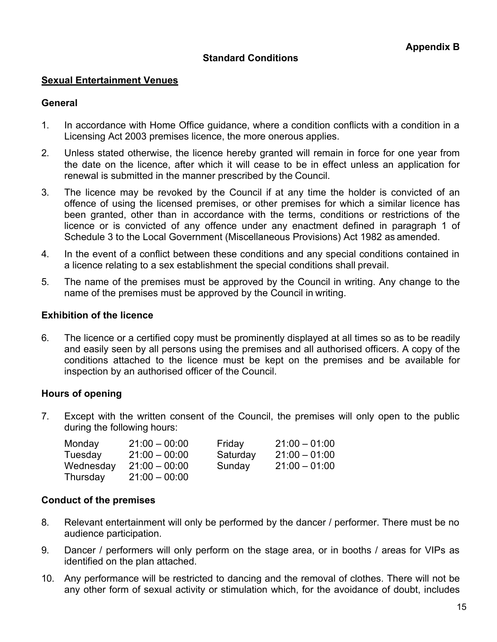## **Standard Conditions**

#### **Sexual Entertainment Venues**

#### **General**

- 1. In accordance with Home Office guidance, where a condition conflicts with a condition in a Licensing Act 2003 premises licence, the more onerous applies.
- 2. Unless stated otherwise, the licence hereby granted will remain in force for one year from the date on the licence, after which it will cease to be in effect unless an application for renewal is submitted in the manner prescribed by the Council.
- 3. The licence may be revoked by the Council if at any time the holder is convicted of an offence of using the licensed premises, or other premises for which a similar licence has been granted, other than in accordance with the terms, conditions or restrictions of the licence or is convicted of any offence under any enactment defined in paragraph 1 of Schedule 3 to the Local Government (Miscellaneous Provisions) Act 1982 as amended.
- 4. In the event of a conflict between these conditions and any special conditions contained in a licence relating to a sex establishment the special conditions shall prevail.
- 5. The name of the premises must be approved by the Council in writing. Any change to the name of the premises must be approved by the Council in writing.

## **Exhibition of the licence**

6. The licence or a certified copy must be prominently displayed at all times so as to be readily and easily seen by all persons using the premises and all authorised officers. A copy of the conditions attached to the licence must be kept on the premises and be available for inspection by an authorised officer of the Council.

## **Hours of opening**

7. Except with the written consent of the Council, the premises will only open to the public during the following hours:

| Monday    | $21:00 - 00:00$ | Friday   | $21:00 - 01:00$ |
|-----------|-----------------|----------|-----------------|
| Tuesday   | $21:00 - 00:00$ | Saturday | $21:00 - 01:00$ |
| Wednesday | $21:00 - 00:00$ | Sunday   | $21:00 - 01:00$ |
| Thursday  | $21:00 - 00:00$ |          |                 |

## **Conduct of the premises**

- 8. Relevant entertainment will only be performed by the dancer / performer. There must be no audience participation.
- 9. Dancer / performers will only perform on the stage area, or in booths / areas for VIPs as identified on the plan attached.
- 10. Any performance will be restricted to dancing and the removal of clothes. There will not be any other form of sexual activity or stimulation which, for the avoidance of doubt, includes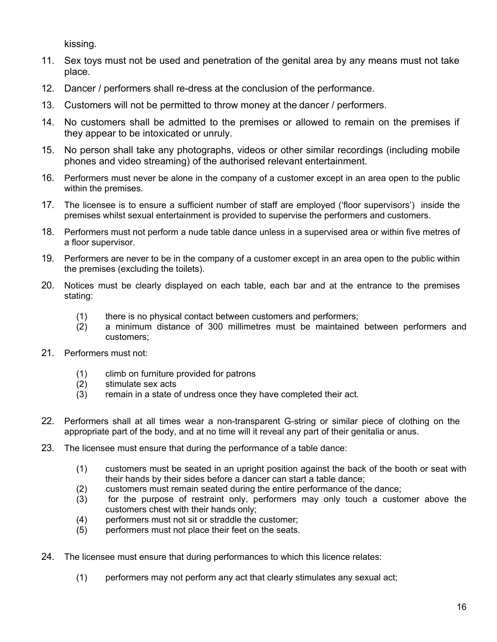kissing.

- 11. Sex toys must not be used and penetration of the genital area by any means must not take place.
- 12. Dancer / performers shall re-dress at the conclusion of the performance.
- 13. Customers will not be permitted to throw money at the dancer / performers.
- 14. No customers shall be admitted to the premises or allowed to remain on the premises if they appear to be intoxicated or unruly.
- 15. No person shall take any photographs, videos or other similar recordings (including mobile phones and video streaming) of the authorised relevant entertainment.
- 16. Performers must never be alone in the company of a customer except in an area open to the public within the premises.
- 17. The licensee is to ensure a sufficient number of staff are employed ('floor supervisors') inside the premises whilst sexual entertainment is provided to supervise the performers and customers.
- 18. Performers must not perform a nude table dance unless in a supervised area or within five metres of a floor supervisor.
- 19. Performers are never to be in the company of a customer except in an area open to the public within the premises (excluding the toilets).
- 20. Notices must be clearly displayed on each table, each bar and at the entrance to the premises stating:
	- (1) there is no physical contact between customers and performers;
	- (2) a minimum distance of 300 millimetres must be maintained between performers and customers;
- 21. Performers must not:
	- (1) climb on furniture provided for patrons
	- (2) stimulate sex acts
	- (3) remain in a state of undress once they have completed their act.
- 22. Performers shall at all times wear a non-transparent G-string or similar piece of clothing on the appropriate part of the body, and at no time will it reveal any part of their genitalia or anus.
- 23. The licensee must ensure that during the performance of a table dance:
	- (1) customers must be seated in an upright position against the back of the booth or seat with their hands by their sides before a dancer can start a table dance;
	- (2) customers must remain seated during the entire performance of the dance;
	- (3) for the purpose of restraint only, performers may only touch a customer above the customers chest with their hands only;
	- (4) performers must not sit or straddle the customer;
	- (5) performers must not place their feet on the seats.
- 24. The licensee must ensure that during performances to which this licence relates:
	- (1) performers may not perform any act that clearly stimulates any sexual act;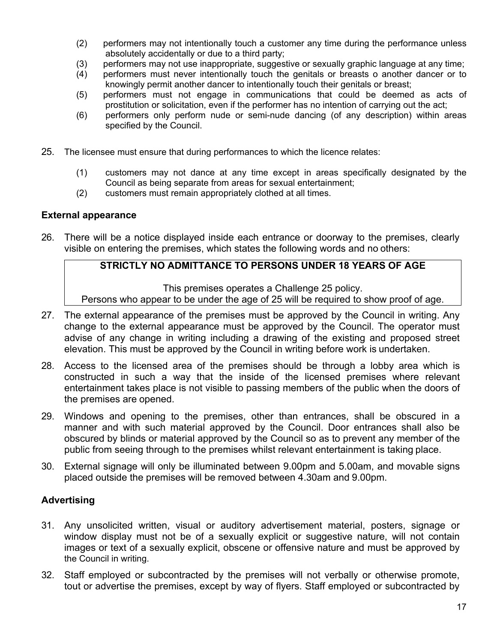- (2) performers may not intentionally touch a customer any time during the performance unless absolutely accidentally or due to a third party;
- (3) performers may not use inappropriate, suggestive or sexually graphic language at any time;
- (4) performers must never intentionally touch the genitals or breasts o another dancer or to knowingly permit another dancer to intentionally touch their genitals or breast;
- (5) performers must not engage in communications that could be deemed as acts of prostitution or solicitation, even if the performer has no intention of carrying out the act;
- (6) performers only perform nude or semi-nude dancing (of any description) within areas specified by the Council.
- 25. The licensee must ensure that during performances to which the licence relates:
	- (1) customers may not dance at any time except in areas specifically designated by the Council as being separate from areas for sexual entertainment;
	- (2) customers must remain appropriately clothed at all times.

## **External appearance**

26. There will be a notice displayed inside each entrance or doorway to the premises, clearly visible on entering the premises, which states the following words and no others:

# **STRICTLY NO ADMITTANCE TO PERSONS UNDER 18 YEARS OF AGE**

This premises operates a Challenge 25 policy.

Persons who appear to be under the age of 25 will be required to show proof of age.

- 27. The external appearance of the premises must be approved by the Council in writing. Any change to the external appearance must be approved by the Council. The operator must advise of any change in writing including a drawing of the existing and proposed street elevation. This must be approved by the Council in writing before work is undertaken.
- 28. Access to the licensed area of the premises should be through a lobby area which is constructed in such a way that the inside of the licensed premises where relevant entertainment takes place is not visible to passing members of the public when the doors of the premises are opened.
- 29. Windows and opening to the premises, other than entrances, shall be obscured in a manner and with such material approved by the Council. Door entrances shall also be obscured by blinds or material approved by the Council so as to prevent any member of the public from seeing through to the premises whilst relevant entertainment is taking place.
- 30. External signage will only be illuminated between 9.00pm and 5.00am, and movable signs placed outside the premises will be removed between 4.30am and 9.00pm.

# **Advertising**

- 31. Any unsolicited written, visual or auditory advertisement material, posters, signage or window display must not be of a sexually explicit or suggestive nature, will not contain images or text of a sexually explicit, obscene or offensive nature and must be approved by the Council in writing.
- 32. Staff employed or subcontracted by the premises will not verbally or otherwise promote, tout or advertise the premises, except by way of flyers. Staff employed or subcontracted by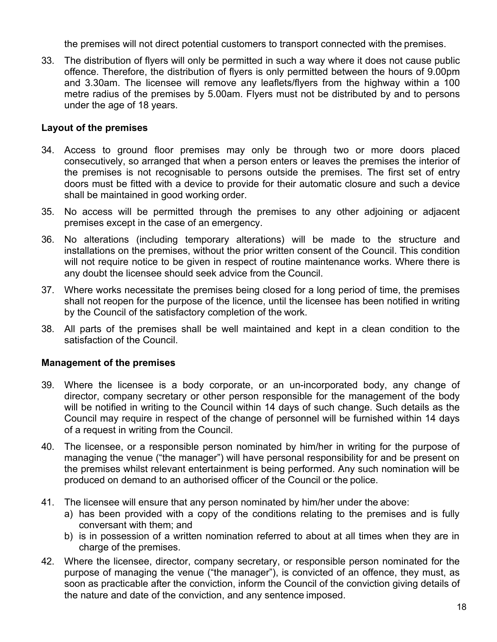the premises will not direct potential customers to transport connected with the premises.

33. The distribution of flyers will only be permitted in such a way where it does not cause public offence. Therefore, the distribution of flyers is only permitted between the hours of 9.00pm and 3.30am. The licensee will remove any leaflets/flyers from the highway within a 100 metre radius of the premises by 5.00am. Flyers must not be distributed by and to persons under the age of 18 years.

## **Layout of the premises**

- 34. Access to ground floor premises may only be through two or more doors placed consecutively, so arranged that when a person enters or leaves the premises the interior of the premises is not recognisable to persons outside the premises. The first set of entry doors must be fitted with a device to provide for their automatic closure and such a device shall be maintained in good working order.
- 35. No access will be permitted through the premises to any other adjoining or adjacent premises except in the case of an emergency.
- 36. No alterations (including temporary alterations) will be made to the structure and installations on the premises, without the prior written consent of the Council. This condition will not require notice to be given in respect of routine maintenance works. Where there is any doubt the licensee should seek advice from the Council.
- 37. Where works necessitate the premises being closed for a long period of time, the premises shall not reopen for the purpose of the licence, until the licensee has been notified in writing by the Council of the satisfactory completion of the work.
- 38. All parts of the premises shall be well maintained and kept in a clean condition to the satisfaction of the Council.

## **Management of the premises**

- 39. Where the licensee is a body corporate, or an un-incorporated body, any change of director, company secretary or other person responsible for the management of the body will be notified in writing to the Council within 14 days of such change. Such details as the Council may require in respect of the change of personnel will be furnished within 14 days of a request in writing from the Council.
- 40. The licensee, or a responsible person nominated by him/her in writing for the purpose of managing the venue ("the manager") will have personal responsibility for and be present on the premises whilst relevant entertainment is being performed. Any such nomination will be produced on demand to an authorised officer of the Council or the police.
- 41. The licensee will ensure that any person nominated by him/her under the above:
	- a) has been provided with a copy of the conditions relating to the premises and is fully conversant with them; and
	- b) is in possession of a written nomination referred to about at all times when they are in charge of the premises.
- 42. Where the licensee, director, company secretary, or responsible person nominated for the purpose of managing the venue ("the manager"), is convicted of an offence, they must, as soon as practicable after the conviction, inform the Council of the conviction giving details of the nature and date of the conviction, and any sentence imposed.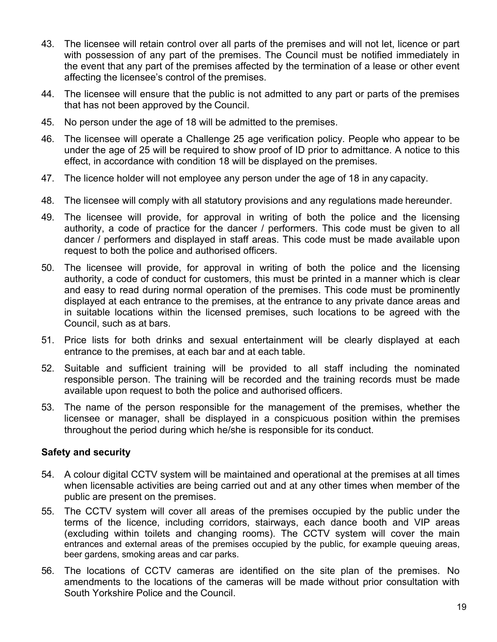- 43. The licensee will retain control over all parts of the premises and will not let, licence or part with possession of any part of the premises. The Council must be notified immediately in the event that any part of the premises affected by the termination of a lease or other event affecting the licensee's control of the premises.
- 44. The licensee will ensure that the public is not admitted to any part or parts of the premises that has not been approved by the Council.
- 45. No person under the age of 18 will be admitted to the premises.
- 46. The licensee will operate a Challenge 25 age verification policy. People who appear to be under the age of 25 will be required to show proof of ID prior to admittance. A notice to this effect, in accordance with condition 18 will be displayed on the premises.
- 47. The licence holder will not employee any person under the age of 18 in any capacity.
- 48. The licensee will comply with all statutory provisions and any regulations made hereunder.
- 49. The licensee will provide, for approval in writing of both the police and the licensing authority, a code of practice for the dancer / performers. This code must be given to all dancer / performers and displayed in staff areas. This code must be made available upon request to both the police and authorised officers.
- 50. The licensee will provide, for approval in writing of both the police and the licensing authority, a code of conduct for customers, this must be printed in a manner which is clear and easy to read during normal operation of the premises. This code must be prominently displayed at each entrance to the premises, at the entrance to any private dance areas and in suitable locations within the licensed premises, such locations to be agreed with the Council, such as at bars.
- 51. Price lists for both drinks and sexual entertainment will be clearly displayed at each entrance to the premises, at each bar and at each table.
- 52. Suitable and sufficient training will be provided to all staff including the nominated responsible person. The training will be recorded and the training records must be made available upon request to both the police and authorised officers.
- 53. The name of the person responsible for the management of the premises, whether the licensee or manager, shall be displayed in a conspicuous position within the premises throughout the period during which he/she is responsible for its conduct.

## **Safety and security**

- 54. A colour digital CCTV system will be maintained and operational at the premises at all times when licensable activities are being carried out and at any other times when member of the public are present on the premises.
- 55. The CCTV system will cover all areas of the premises occupied by the public under the terms of the licence, including corridors, stairways, each dance booth and VIP areas (excluding within toilets and changing rooms). The CCTV system will cover the main entrances and external areas of the premises occupied by the public, for example queuing areas, beer gardens, smoking areas and car parks.
- 56. The locations of CCTV cameras are identified on the site plan of the premises. No amendments to the locations of the cameras will be made without prior consultation with South Yorkshire Police and the Council.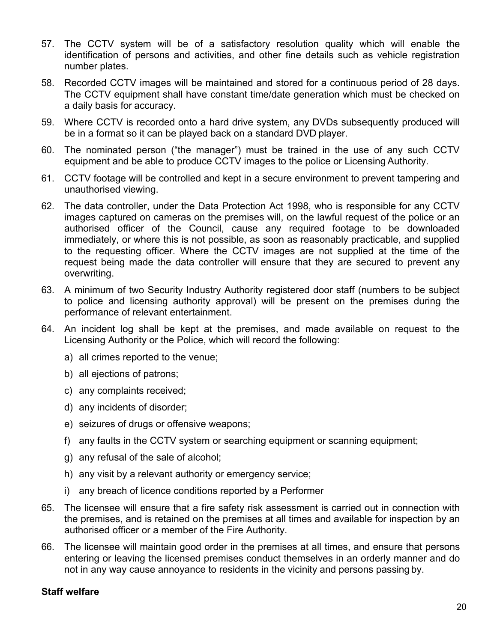- 57. The CCTV system will be of a satisfactory resolution quality which will enable the identification of persons and activities, and other fine details such as vehicle registration number plates.
- 58. Recorded CCTV images will be maintained and stored for a continuous period of 28 days. The CCTV equipment shall have constant time/date generation which must be checked on a daily basis for accuracy.
- 59. Where CCTV is recorded onto a hard drive system, any DVDs subsequently produced will be in a format so it can be played back on a standard DVD player.
- 60. The nominated person ("the manager") must be trained in the use of any such CCTV equipment and be able to produce CCTV images to the police or Licensing Authority.
- 61. CCTV footage will be controlled and kept in a secure environment to prevent tampering and unauthorised viewing.
- 62. The data controller, under the Data Protection Act 1998, who is responsible for any CCTV images captured on cameras on the premises will, on the lawful request of the police or an authorised officer of the Council, cause any required footage to be downloaded immediately, or where this is not possible, as soon as reasonably practicable, and supplied to the requesting officer. Where the CCTV images are not supplied at the time of the request being made the data controller will ensure that they are secured to prevent any overwriting.
- 63. A minimum of two Security Industry Authority registered door staff (numbers to be subject to police and licensing authority approval) will be present on the premises during the performance of relevant entertainment.
- 64. An incident log shall be kept at the premises, and made available on request to the Licensing Authority or the Police, which will record the following:
	- a) all crimes reported to the venue;
	- b) all ejections of patrons;
	- c) any complaints received;
	- d) any incidents of disorder;
	- e) seizures of drugs or offensive weapons;
	- f) any faults in the CCTV system or searching equipment or scanning equipment;
	- g) any refusal of the sale of alcohol;
	- h) any visit by a relevant authority or emergency service;
	- i) any breach of licence conditions reported by a Performer
- 65. The licensee will ensure that a fire safety risk assessment is carried out in connection with the premises, and is retained on the premises at all times and available for inspection by an authorised officer or a member of the Fire Authority.
- 66. The licensee will maintain good order in the premises at all times, and ensure that persons entering or leaving the licensed premises conduct themselves in an orderly manner and do not in any way cause annoyance to residents in the vicinity and persons passing by.

## **Staff welfare**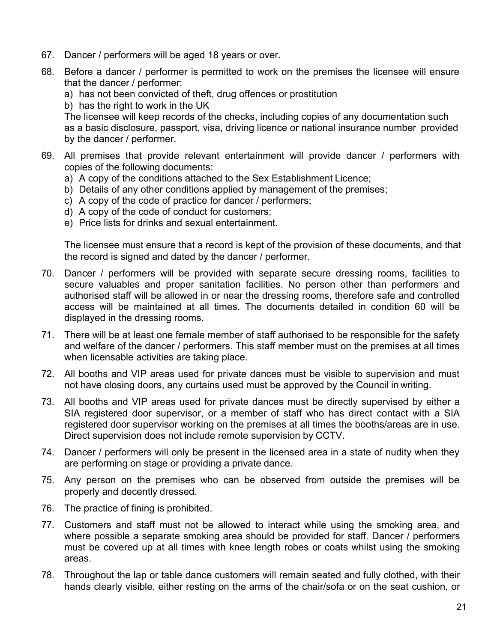- 67. Dancer / performers will be aged 18 years or over.
- 68. Before a dancer / performer is permitted to work on the premises the licensee will ensure that the dancer / performer:
	- a) has not been convicted of theft, drug offences or prostitution
	- b) has the right to work in the UK

The licensee will keep records of the checks, including copies of any documentation such as a basic disclosure, passport, visa, driving licence or national insurance number provided by the dancer / performer.

- 69. All premises that provide relevant entertainment will provide dancer / performers with copies of the following documents:
	- a) A copy of the conditions attached to the Sex Establishment Licence;
	- b) Details of any other conditions applied by management of the premises;
	- c) A copy of the code of practice for dancer / performers;
	- d) A copy of the code of conduct for customers;
	- e) Price lists for drinks and sexual entertainment.

The licensee must ensure that a record is kept of the provision of these documents, and that the record is signed and dated by the dancer / performer.

- 70. Dancer / performers will be provided with separate secure dressing rooms, facilities to secure valuables and proper sanitation facilities. No person other than performers and authorised staff will be allowed in or near the dressing rooms, therefore safe and controlled access will be maintained at all times. The documents detailed in condition 60 will be displayed in the dressing rooms.
- 71. There will be at least one female member of staff authorised to be responsible for the safety and welfare of the dancer / performers. This staff member must on the premises at all times when licensable activities are taking place.
- 72. All booths and VIP areas used for private dances must be visible to supervision and must not have closing doors, any curtains used must be approved by the Council in writing.
- 73. All booths and VIP areas used for private dances must be directly supervised by either a SIA registered door supervisor, or a member of staff who has direct contact with a SIA registered door supervisor working on the premises at all times the booths/areas are in use. Direct supervision does not include remote supervision by CCTV.
- 74. Dancer / performers will only be present in the licensed area in a state of nudity when they are performing on stage or providing a private dance.
- 75. Any person on the premises who can be observed from outside the premises will be properly and decently dressed.
- 76. The practice of fining is prohibited.
- 77. Customers and staff must not be allowed to interact while using the smoking area, and where possible a separate smoking area should be provided for staff. Dancer / performers must be covered up at all times with knee length robes or coats whilst using the smoking areas.
- 78. Throughout the lap or table dance customers will remain seated and fully clothed, with their hands clearly visible, either resting on the arms of the chair/sofa or on the seat cushion, or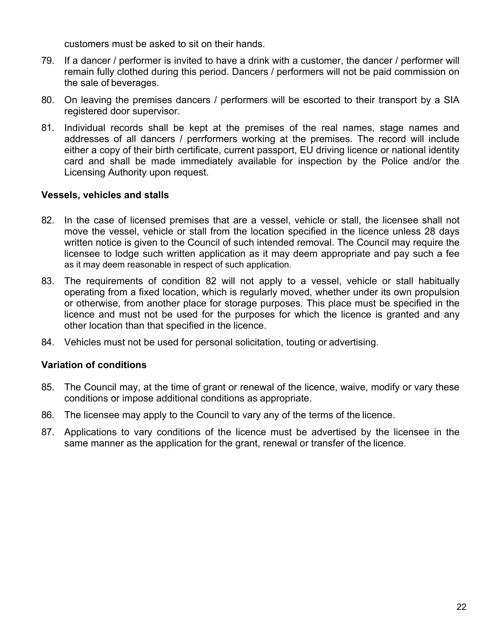customers must be asked to sit on their hands.

- 79. If a dancer / performer is invited to have a drink with a customer, the dancer / performer will remain fully clothed during this period. Dancers / performers will not be paid commission on the sale of beverages.
- 80. On leaving the premises dancers / performers will be escorted to their transport by a SIA registered door supervisor.
- 81. Individual records shall be kept at the premises of the real names, stage names and addresses of all dancers / perrformers working at the premises. The record will include either a copy of their birth certificate, current passport, EU driving licence or national identity card and shall be made immediately available for inspection by the Police and/or the Licensing Authority upon request.

## **Vessels, vehicles and stalls**

- 82. In the case of licensed premises that are a vessel, vehicle or stall, the licensee shall not move the vessel, vehicle or stall from the location specified in the licence unless 28 days written notice is given to the Council of such intended removal. The Council may require the licensee to lodge such written application as it may deem appropriate and pay such a fee as it may deem reasonable in respect of such application.
- 83. The requirements of condition 82 will not apply to a vessel, vehicle or stall habitually operating from a fixed location, which is regularly moved, whether under its own propulsion or otherwise, from another place for storage purposes. This place must be specified in the licence and must not be used for the purposes for which the licence is granted and any other location than that specified in the licence.
- 84. Vehicles must not be used for personal solicitation, touting or advertising.

# **Variation of conditions**

- 85. The Council may, at the time of grant or renewal of the licence, waive, modify or vary these conditions or impose additional conditions as appropriate.
- 86. The licensee may apply to the Council to vary any of the terms of the licence.
- 87. Applications to vary conditions of the licence must be advertised by the licensee in the same manner as the application for the grant, renewal or transfer of the licence.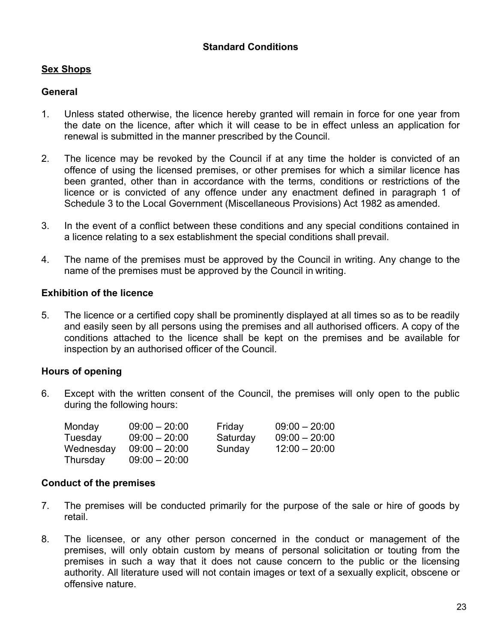# **Sex Shops**

## **General**

- 1. Unless stated otherwise, the licence hereby granted will remain in force for one year from the date on the licence, after which it will cease to be in effect unless an application for renewal is submitted in the manner prescribed by the Council.
- 2. The licence may be revoked by the Council if at any time the holder is convicted of an offence of using the licensed premises, or other premises for which a similar licence has been granted, other than in accordance with the terms, conditions or restrictions of the licence or is convicted of any offence under any enactment defined in paragraph 1 of Schedule 3 to the Local Government (Miscellaneous Provisions) Act 1982 as amended.
- 3. In the event of a conflict between these conditions and any special conditions contained in a licence relating to a sex establishment the special conditions shall prevail.
- 4. The name of the premises must be approved by the Council in writing. Any change to the name of the premises must be approved by the Council in writing.

## **Exhibition of the licence**

5. The licence or a certified copy shall be prominently displayed at all times so as to be readily and easily seen by all persons using the premises and all authorised officers. A copy of the conditions attached to the licence shall be kept on the premises and be available for inspection by an authorised officer of the Council.

## **Hours of opening**

6. Except with the written consent of the Council, the premises will only open to the public during the following hours:

| Monday    | $09:00 - 20:00$ | Friday   | $09:00 - 20:00$ |
|-----------|-----------------|----------|-----------------|
| Tuesday   | $09:00 - 20:00$ | Saturday | $09:00 - 20:00$ |
| Wednesday | $09:00 - 20:00$ | Sunday   | $12:00 - 20:00$ |
| Thursday  | $09:00 - 20:00$ |          |                 |

## **Conduct of the premises**

- 7. The premises will be conducted primarily for the purpose of the sale or hire of goods by retail.
- 8. The licensee, or any other person concerned in the conduct or management of the premises, will only obtain custom by means of personal solicitation or touting from the premises in such a way that it does not cause concern to the public or the licensing authority. All literature used will not contain images or text of a sexually explicit, obscene or offensive nature.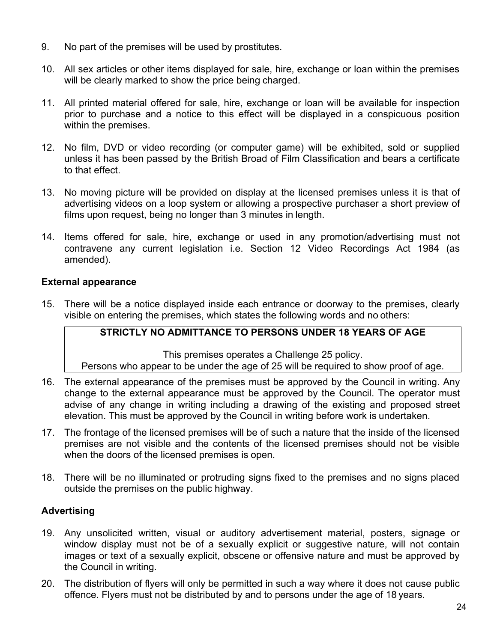- 9. No part of the premises will be used by prostitutes.
- 10. All sex articles or other items displayed for sale, hire, exchange or loan within the premises will be clearly marked to show the price being charged.
- 11. All printed material offered for sale, hire, exchange or loan will be available for inspection prior to purchase and a notice to this effect will be displayed in a conspicuous position within the premises.
- 12. No film, DVD or video recording (or computer game) will be exhibited, sold or supplied unless it has been passed by the British Broad of Film Classification and bears a certificate to that effect.
- 13. No moving picture will be provided on display at the licensed premises unless it is that of advertising videos on a loop system or allowing a prospective purchaser a short preview of films upon request, being no longer than 3 minutes in length.
- 14. Items offered for sale, hire, exchange or used in any promotion/advertising must not contravene any current legislation i.e. Section 12 Video Recordings Act 1984 (as amended).

## **External appearance**

15. There will be a notice displayed inside each entrance or doorway to the premises, clearly visible on entering the premises, which states the following words and no others:

# **STRICTLY NO ADMITTANCE TO PERSONS UNDER 18 YEARS OF AGE**

This premises operates a Challenge 25 policy. Persons who appear to be under the age of 25 will be required to show proof of age.

- 16. The external appearance of the premises must be approved by the Council in writing. Any change to the external appearance must be approved by the Council. The operator must advise of any change in writing including a drawing of the existing and proposed street elevation. This must be approved by the Council in writing before work is undertaken.
- 17. The frontage of the licensed premises will be of such a nature that the inside of the licensed premises are not visible and the contents of the licensed premises should not be visible when the doors of the licensed premises is open.
- 18. There will be no illuminated or protruding signs fixed to the premises and no signs placed outside the premises on the public highway.

# **Advertising**

- 19. Any unsolicited written, visual or auditory advertisement material, posters, signage or window display must not be of a sexually explicit or suggestive nature, will not contain images or text of a sexually explicit, obscene or offensive nature and must be approved by the Council in writing.
- 20. The distribution of flyers will only be permitted in such a way where it does not cause public offence. Flyers must not be distributed by and to persons under the age of 18 years.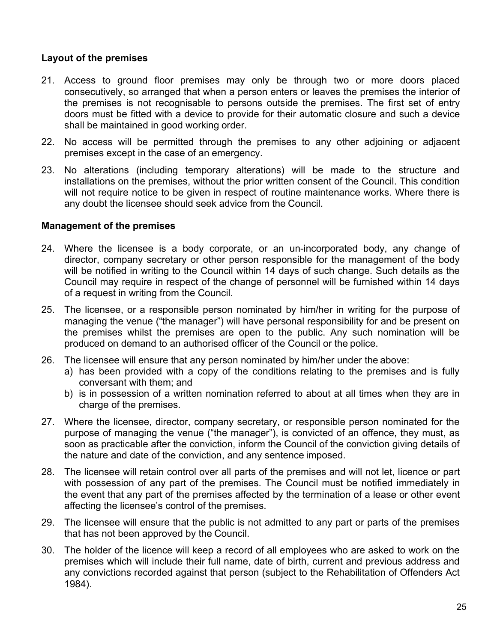# **Layout of the premises**

- 21. Access to ground floor premises may only be through two or more doors placed consecutively, so arranged that when a person enters or leaves the premises the interior of the premises is not recognisable to persons outside the premises. The first set of entry doors must be fitted with a device to provide for their automatic closure and such a device shall be maintained in good working order.
- 22. No access will be permitted through the premises to any other adjoining or adjacent premises except in the case of an emergency.
- 23. No alterations (including temporary alterations) will be made to the structure and installations on the premises, without the prior written consent of the Council. This condition will not require notice to be given in respect of routine maintenance works. Where there is any doubt the licensee should seek advice from the Council.

## **Management of the premises**

- 24. Where the licensee is a body corporate, or an un-incorporated body, any change of director, company secretary or other person responsible for the management of the body will be notified in writing to the Council within 14 days of such change. Such details as the Council may require in respect of the change of personnel will be furnished within 14 days of a request in writing from the Council.
- 25. The licensee, or a responsible person nominated by him/her in writing for the purpose of managing the venue ("the manager") will have personal responsibility for and be present on the premises whilst the premises are open to the public. Any such nomination will be produced on demand to an authorised officer of the Council or the police.
- 26. The licensee will ensure that any person nominated by him/her under the above:
	- a) has been provided with a copy of the conditions relating to the premises and is fully conversant with them; and
	- b) is in possession of a written nomination referred to about at all times when they are in charge of the premises.
- 27. Where the licensee, director, company secretary, or responsible person nominated for the purpose of managing the venue ("the manager"), is convicted of an offence, they must, as soon as practicable after the conviction, inform the Council of the conviction giving details of the nature and date of the conviction, and any sentence imposed.
- 28. The licensee will retain control over all parts of the premises and will not let, licence or part with possession of any part of the premises. The Council must be notified immediately in the event that any part of the premises affected by the termination of a lease or other event affecting the licensee's control of the premises.
- 29. The licensee will ensure that the public is not admitted to any part or parts of the premises that has not been approved by the Council.
- 30. The holder of the licence will keep a record of all employees who are asked to work on the premises which will include their full name, date of birth, current and previous address and any convictions recorded against that person (subject to the Rehabilitation of Offenders Act 1984).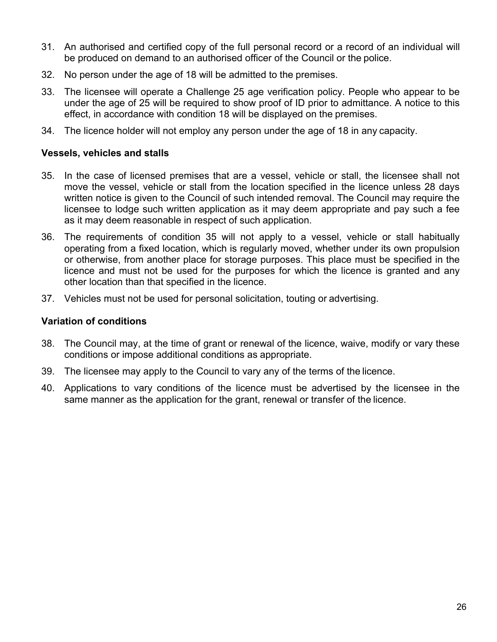- 31. An authorised and certified copy of the full personal record or a record of an individual will be produced on demand to an authorised officer of the Council or the police.
- 32. No person under the age of 18 will be admitted to the premises.
- 33. The licensee will operate a Challenge 25 age verification policy. People who appear to be under the age of 25 will be required to show proof of ID prior to admittance. A notice to this effect, in accordance with condition 18 will be displayed on the premises.
- 34. The licence holder will not employ any person under the age of 18 in any capacity.

# **Vessels, vehicles and stalls**

- 35. In the case of licensed premises that are a vessel, vehicle or stall, the licensee shall not move the vessel, vehicle or stall from the location specified in the licence unless 28 days written notice is given to the Council of such intended removal. The Council may require the licensee to lodge such written application as it may deem appropriate and pay such a fee as it may deem reasonable in respect of such application.
- 36. The requirements of condition 35 will not apply to a vessel, vehicle or stall habitually operating from a fixed location, which is regularly moved, whether under its own propulsion or otherwise, from another place for storage purposes. This place must be specified in the licence and must not be used for the purposes for which the licence is granted and any other location than that specified in the licence.
- 37. Vehicles must not be used for personal solicitation, touting or advertising.

# **Variation of conditions**

- 38. The Council may, at the time of grant or renewal of the licence, waive, modify or vary these conditions or impose additional conditions as appropriate.
- 39. The licensee may apply to the Council to vary any of the terms of the licence.
- 40. Applications to vary conditions of the licence must be advertised by the licensee in the same manner as the application for the grant, renewal or transfer of the licence.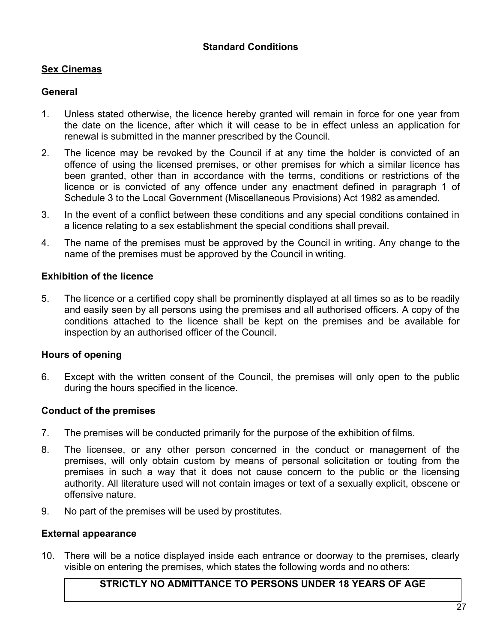# **Sex Cinemas**

## **General**

- 1. Unless stated otherwise, the licence hereby granted will remain in force for one year from the date on the licence, after which it will cease to be in effect unless an application for renewal is submitted in the manner prescribed by the Council.
- 2. The licence may be revoked by the Council if at any time the holder is convicted of an offence of using the licensed premises, or other premises for which a similar licence has been granted, other than in accordance with the terms, conditions or restrictions of the licence or is convicted of any offence under any enactment defined in paragraph 1 of Schedule 3 to the Local Government (Miscellaneous Provisions) Act 1982 as amended.
- 3. In the event of a conflict between these conditions and any special conditions contained in a licence relating to a sex establishment the special conditions shall prevail.
- 4. The name of the premises must be approved by the Council in writing. Any change to the name of the premises must be approved by the Council in writing.

## **Exhibition of the licence**

5. The licence or a certified copy shall be prominently displayed at all times so as to be readily and easily seen by all persons using the premises and all authorised officers. A copy of the conditions attached to the licence shall be kept on the premises and be available for inspection by an authorised officer of the Council.

## **Hours of opening**

6. Except with the written consent of the Council, the premises will only open to the public during the hours specified in the licence.

## **Conduct of the premises**

- 7. The premises will be conducted primarily for the purpose of the exhibition of films.
- 8. The licensee, or any other person concerned in the conduct or management of the premises, will only obtain custom by means of personal solicitation or touting from the premises in such a way that it does not cause concern to the public or the licensing authority. All literature used will not contain images or text of a sexually explicit, obscene or offensive nature.
- 9. No part of the premises will be used by prostitutes.

## **External appearance**

10. There will be a notice displayed inside each entrance or doorway to the premises, clearly visible on entering the premises, which states the following words and no others:

# **STRICTLY NO ADMITTANCE TO PERSONS UNDER 18 YEARS OF AGE**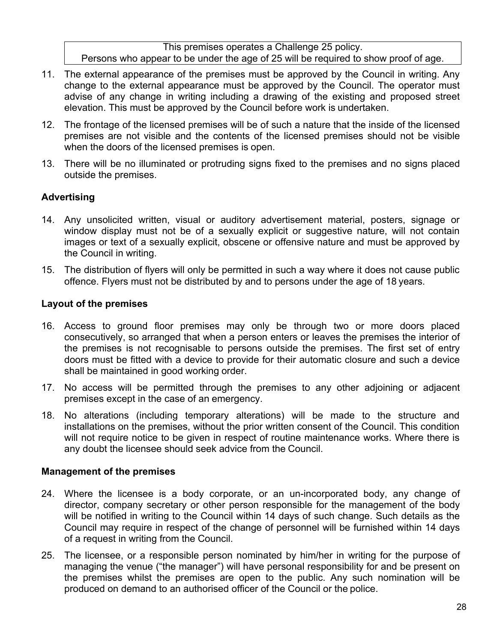This premises operates a Challenge 25 policy. Persons who appear to be under the age of 25 will be required to show proof of age.

- 11. The external appearance of the premises must be approved by the Council in writing. Any change to the external appearance must be approved by the Council. The operator must advise of any change in writing including a drawing of the existing and proposed street elevation. This must be approved by the Council before work is undertaken.
- 12. The frontage of the licensed premises will be of such a nature that the inside of the licensed premises are not visible and the contents of the licensed premises should not be visible when the doors of the licensed premises is open.
- 13. There will be no illuminated or protruding signs fixed to the premises and no signs placed outside the premises.

# **Advertising**

- 14. Any unsolicited written, visual or auditory advertisement material, posters, signage or window display must not be of a sexually explicit or suggestive nature, will not contain images or text of a sexually explicit, obscene or offensive nature and must be approved by the Council in writing.
- 15. The distribution of flyers will only be permitted in such a way where it does not cause public offence. Flyers must not be distributed by and to persons under the age of 18 years.

## **Layout of the premises**

- 16. Access to ground floor premises may only be through two or more doors placed consecutively, so arranged that when a person enters or leaves the premises the interior of the premises is not recognisable to persons outside the premises. The first set of entry doors must be fitted with a device to provide for their automatic closure and such a device shall be maintained in good working order.
- 17. No access will be permitted through the premises to any other adjoining or adjacent premises except in the case of an emergency.
- 18. No alterations (including temporary alterations) will be made to the structure and installations on the premises, without the prior written consent of the Council. This condition will not require notice to be given in respect of routine maintenance works. Where there is any doubt the licensee should seek advice from the Council.

# **Management of the premises**

- 24. Where the licensee is a body corporate, or an un-incorporated body, any change of director, company secretary or other person responsible for the management of the body will be notified in writing to the Council within 14 days of such change. Such details as the Council may require in respect of the change of personnel will be furnished within 14 days of a request in writing from the Council.
- 25. The licensee, or a responsible person nominated by him/her in writing for the purpose of managing the venue ("the manager") will have personal responsibility for and be present on the premises whilst the premises are open to the public. Any such nomination will be produced on demand to an authorised officer of the Council or the police.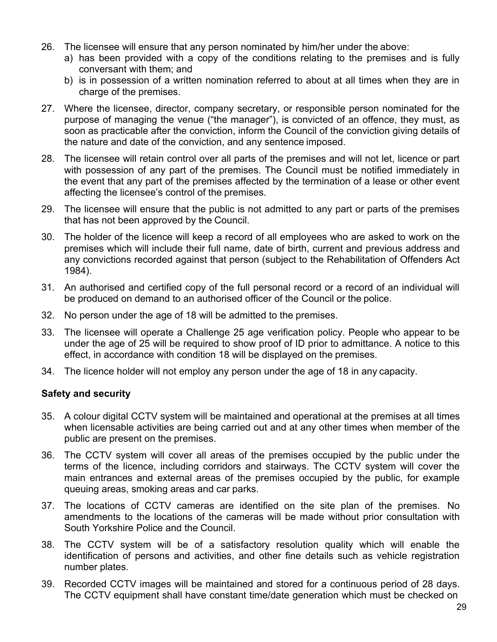- 26. The licensee will ensure that any person nominated by him/her under the above:
	- a) has been provided with a copy of the conditions relating to the premises and is fully conversant with them; and
	- b) is in possession of a written nomination referred to about at all times when they are in charge of the premises.
- 27. Where the licensee, director, company secretary, or responsible person nominated for the purpose of managing the venue ("the manager"), is convicted of an offence, they must, as soon as practicable after the conviction, inform the Council of the conviction giving details of the nature and date of the conviction, and any sentence imposed.
- 28. The licensee will retain control over all parts of the premises and will not let, licence or part with possession of any part of the premises. The Council must be notified immediately in the event that any part of the premises affected by the termination of a lease or other event affecting the licensee's control of the premises.
- 29. The licensee will ensure that the public is not admitted to any part or parts of the premises that has not been approved by the Council.
- 30. The holder of the licence will keep a record of all employees who are asked to work on the premises which will include their full name, date of birth, current and previous address and any convictions recorded against that person (subject to the Rehabilitation of Offenders Act 1984).
- 31. An authorised and certified copy of the full personal record or a record of an individual will be produced on demand to an authorised officer of the Council or the police.
- 32. No person under the age of 18 will be admitted to the premises.
- 33. The licensee will operate a Challenge 25 age verification policy. People who appear to be under the age of 25 will be required to show proof of ID prior to admittance. A notice to this effect, in accordance with condition 18 will be displayed on the premises.
- 34. The licence holder will not employ any person under the age of 18 in any capacity.

## **Safety and security**

- 35. A colour digital CCTV system will be maintained and operational at the premises at all times when licensable activities are being carried out and at any other times when member of the public are present on the premises.
- 36. The CCTV system will cover all areas of the premises occupied by the public under the terms of the licence, including corridors and stairways. The CCTV system will cover the main entrances and external areas of the premises occupied by the public, for example queuing areas, smoking areas and car parks.
- 37. The locations of CCTV cameras are identified on the site plan of the premises. No amendments to the locations of the cameras will be made without prior consultation with South Yorkshire Police and the Council.
- 38. The CCTV system will be of a satisfactory resolution quality which will enable the identification of persons and activities, and other fine details such as vehicle registration number plates.
- 39. Recorded CCTV images will be maintained and stored for a continuous period of 28 days. The CCTV equipment shall have constant time/date generation which must be checked on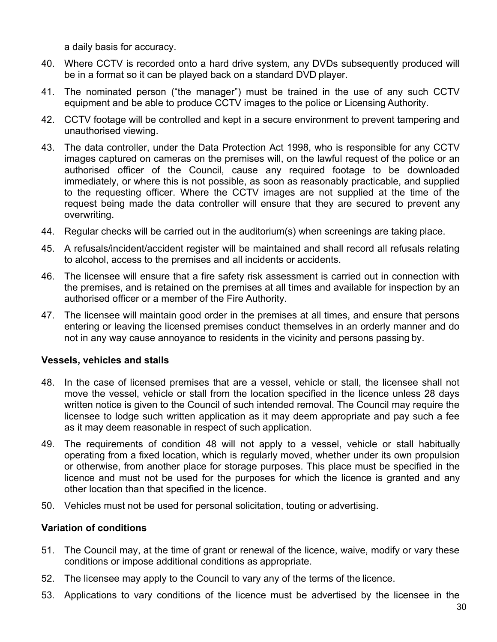a daily basis for accuracy.

- 40. Where CCTV is recorded onto a hard drive system, any DVDs subsequently produced will be in a format so it can be played back on a standard DVD player.
- 41. The nominated person ("the manager") must be trained in the use of any such CCTV equipment and be able to produce CCTV images to the police or Licensing Authority.
- 42. CCTV footage will be controlled and kept in a secure environment to prevent tampering and unauthorised viewing.
- 43. The data controller, under the Data Protection Act 1998, who is responsible for any CCTV images captured on cameras on the premises will, on the lawful request of the police or an authorised officer of the Council, cause any required footage to be downloaded immediately, or where this is not possible, as soon as reasonably practicable, and supplied to the requesting officer. Where the CCTV images are not supplied at the time of the request being made the data controller will ensure that they are secured to prevent any overwriting.
- 44. Regular checks will be carried out in the auditorium(s) when screenings are taking place.
- 45. A refusals/incident/accident register will be maintained and shall record all refusals relating to alcohol, access to the premises and all incidents or accidents.
- 46. The licensee will ensure that a fire safety risk assessment is carried out in connection with the premises, and is retained on the premises at all times and available for inspection by an authorised officer or a member of the Fire Authority.
- 47. The licensee will maintain good order in the premises at all times, and ensure that persons entering or leaving the licensed premises conduct themselves in an orderly manner and do not in any way cause annoyance to residents in the vicinity and persons passing by.

## **Vessels, vehicles and stalls**

- 48. In the case of licensed premises that are a vessel, vehicle or stall, the licensee shall not move the vessel, vehicle or stall from the location specified in the licence unless 28 days written notice is given to the Council of such intended removal. The Council may require the licensee to lodge such written application as it may deem appropriate and pay such a fee as it may deem reasonable in respect of such application.
- 49. The requirements of condition 48 will not apply to a vessel, vehicle or stall habitually operating from a fixed location, which is regularly moved, whether under its own propulsion or otherwise, from another place for storage purposes. This place must be specified in the licence and must not be used for the purposes for which the licence is granted and any other location than that specified in the licence.
- 50. Vehicles must not be used for personal solicitation, touting or advertising.

# **Variation of conditions**

- 51. The Council may, at the time of grant or renewal of the licence, waive, modify or vary these conditions or impose additional conditions as appropriate.
- 52. The licensee may apply to the Council to vary any of the terms of the licence.
- 53. Applications to vary conditions of the licence must be advertised by the licensee in the